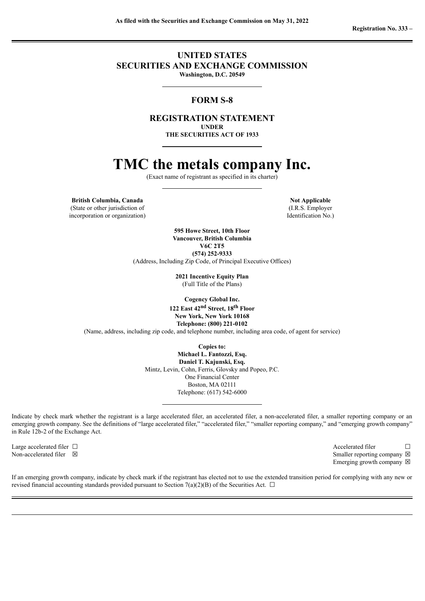# **UNITED STATES SECURITIES AND EXCHANGE COMMISSION Washington, D.C. 20549**

# **FORM S-8**

## **REGISTRATION STATEMENT**

**UNDER**

**THE SECURITIES ACT OF 1933**

# **TMC the metals company Inc.**

(Exact name of registrant as specified in its charter)

**British Columbia, Canada Notify Applicable Notify Applicable** (State or other jurisdiction of

incorporation or organization)

(I.R.S. Employer Identification No.)

**595 Howe Street, 10th Floor Vancouver, British Columbia V6C 2T5 (574) 252-9333** (Address, Including Zip Code, of Principal Executive Offices)

> **2021 Incentive Equity Plan** (Full Title of the Plans)

**Cogency Global Inc. 122 East 42 nd Street, 18 th Floor New York, New York 10168 Telephone: (800) 221-0102** (Name, address, including zip code, and telephone number, including area code, of agent for service)

> **Copies to: Michael L. Fantozzi, Esq. Daniel T. Kajunski, Esq.** Mintz, Levin, Cohn, Ferris, Glovsky and Popeo, P.C. One Financial Center Boston, MA 02111 Telephone: (617) 542-6000

Indicate by check mark whether the registrant is a large accelerated filer, an accelerated filer, a non-accelerated filer, a smaller reporting company or an emerging growth company. See the definitions of "large accelerated filer," "accelerated filer," "smaller reporting company," and "emerging growth company" in Rule 12b-2 of the Exchange Act.

Large accelerated filer ☐ Accelerated filer ☐ Non-accelerated filer ⊠ Smaller reporting company ⊠ Emerging growth company  $\boxtimes$ 

If an emerging growth company, indicate by check mark if the registrant has elected not to use the extended transition period for complying with any new or revised financial accounting standards provided pursuant to Section 7(a)(2)(B) of the Securities Act.  $\Box$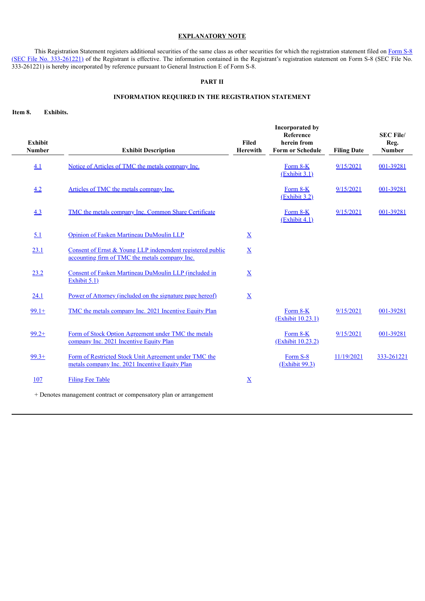### **EXPLANATORY NOTE**

This Registration Statement registers additional securities of the same class as other securities for which the registration statement filed on Form S-8 (SEC File No. [333-261221\)](https://www.sec.gov/Archives/edgar/data/1798562/000110465921141752/tm2133318d1_s8.htm) of the Registrant is effective. The information contained in the Registrant's registration statement on Form S-8 (SEC File No. 333-261221) is hereby incorporated by reference pursuant to General Instruction E of Form S-8.

### **PART II**

### **INFORMATION REQUIRED IN THE REGISTRATION STATEMENT**

#### **Item 8. Exhibits.**

| <b>Exhibit</b><br><b>Number</b> | <b>Exhibit Description</b>                                                                                   | <b>Filed</b><br>Herewith | Incorporated by<br>Reference<br>herein from<br><b>Form or Schedule</b> | <b>Filing Date</b> | <b>SEC File/</b><br>Reg.<br><b>Number</b> |
|---------------------------------|--------------------------------------------------------------------------------------------------------------|--------------------------|------------------------------------------------------------------------|--------------------|-------------------------------------------|
| 4.1                             | Notice of Articles of TMC the metals company Inc.                                                            |                          | Form 8-K<br>(Exhibit 3.1)                                              | 9/15/2021          | 001-39281                                 |
| 4.2                             | Articles of TMC the metals company Inc.                                                                      |                          | Form 8-K<br>(Exhibit 3.2)                                              | 9/15/2021          | 001-39281                                 |
| 4.3                             | TMC the metals company Inc. Common Share Certificate                                                         |                          | Form $8-K$<br>(Exhibit 4.1)                                            | 9/15/2021          | 001-39281                                 |
| <u>5.1</u>                      | Opinion of Fasken Martineau DuMoulin LLP                                                                     | $\underline{X}$          |                                                                        |                    |                                           |
| 23.1                            | Consent of Ernst & Young LLP independent registered public<br>accounting firm of TMC the metals company Inc. | $\underline{\mathbf{X}}$ |                                                                        |                    |                                           |
| 23.2                            | Consent of Fasken Martineau DuMoulin LLP (included in<br>Exhibit $5.1$ )                                     | $\underline{X}$          |                                                                        |                    |                                           |
| 24.1                            | Power of Attorney (included on the signature page hereof)                                                    | $\underline{X}$          |                                                                        |                    |                                           |
| $99.1+$                         | TMC the metals company Inc. 2021 Incentive Equity Plan                                                       |                          | Form 8-K<br>(Exhibit 10.23.1)                                          | 9/15/2021          | 001-39281                                 |
| $99.2+$                         | Form of Stock Option Agreement under TMC the metals<br>company Inc. 2021 Incentive Equity Plan               |                          | Form 8-K<br>(Exhibit 10.23.2)                                          | 9/15/2021          | 001-39281                                 |
| $99.3+$                         | Form of Restricted Stock Unit Agreement under TMC the<br>metals company Inc. 2021 Incentive Equity Plan      |                          | Form S-8<br>(Exhibit 99.3)                                             | 11/19/2021         | 333-261221                                |
| 107                             | <b>Filing Fee Table</b>                                                                                      | $\underline{X}$          |                                                                        |                    |                                           |
|                                 | + Denotes management contract or compensatory plan or arrangement                                            |                          |                                                                        |                    |                                           |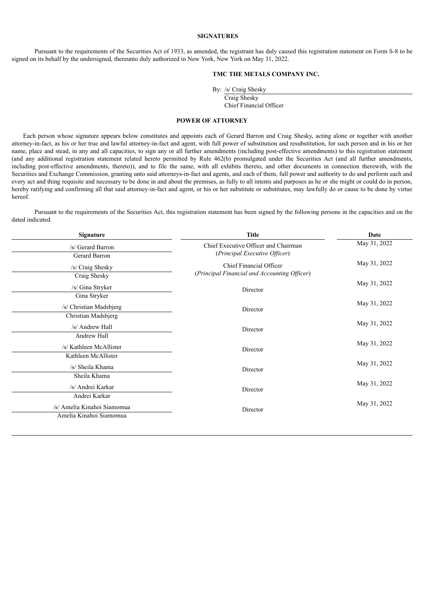### **SIGNATURES**

Pursuant to the requirements of the Securities Act of 1933, as amended, the registrant has duly caused this registration statement on Form S-8 to be signed on its behalf by the undersigned, thereunto duly authorized in New York, New York on May 31, 2022.

### **TMC THE METALS COMPANY INC.**

By: /s/ Craig Shesky Craig Shesky

Chief Financial Officer

### **POWER OF ATTORNEY**

<span id="page-2-0"></span>Each person whose signature appears below constitutes and appoints each of Gerard Barron and Craig Shesky, acting alone or together with another attorney-in-fact, as his or her true and lawful attorney-in-fact and agent, with full power of substitution and resubstitution, for such person and in his or her name, place and stead, in any and all capacities, to sign any or all further amendments (including post-effective amendments) to this registration statement (and any additional registration statement related hereto permitted by Rule 462(b) promulgated under the Securities Act (and all further amendments, including post-effective amendments, thereto)), and to file the same, with all exhibits thereto, and other documents in connection therewith, with the Securities and Exchange Commission, granting unto said attorneys-in-fact and agents, and each of them, full power and authority to do and perform each and every act and thing requisite and necessary to be done in and about the premises, as fully to all intents and purposes as he or she might or could do in person, hereby ratifying and confirming all that said attorney-in-fact and agent, or his or her substitute or substitutes, may lawfully do or cause to be done by virtue hereof.

Pursuant to the requirements of the Securities Act, this registration statement has been signed by the following persons in the capacities and on the dated indicated.

| <b>Signature</b>                                       | <b>Title</b>                                                            | Date         |  |  |
|--------------------------------------------------------|-------------------------------------------------------------------------|--------------|--|--|
| /s/ Gerard Barron<br>Gerard Barron                     | Chief Executive Officer and Chairman<br>(Principal Executive Officer)   | May 31, 2022 |  |  |
| /s/ Craig Shesky                                       | Chief Financial Officer<br>(Principal Financial and Accounting Officer) | May 31, 2022 |  |  |
| Craig Shesky<br>/s/ Gina Stryker                       | Director                                                                | May 31, 2022 |  |  |
| Gina Stryker<br>/s/ Christian Madsbjerg                | Director                                                                | May 31, 2022 |  |  |
| Christian Madsbjerg<br>/s/ Andrew Hall                 | Director                                                                | May 31, 2022 |  |  |
| Andrew Hall<br>/s/ Kathleen McAllister                 | Director                                                                | May 31, 2022 |  |  |
| Kathleen McAllister<br>/s/ Sheila Khama                |                                                                         | May 31, 2022 |  |  |
| Sheila Khama                                           | Director                                                                | May 31, 2022 |  |  |
| /s/ Andrei Karkar<br>Andrei Karkar                     | Director                                                                |              |  |  |
| /s/ Amelia Kinahoi Siamomua<br>Amelia Kinahoi Siamomua | Director                                                                | May 31, 2022 |  |  |
|                                                        |                                                                         |              |  |  |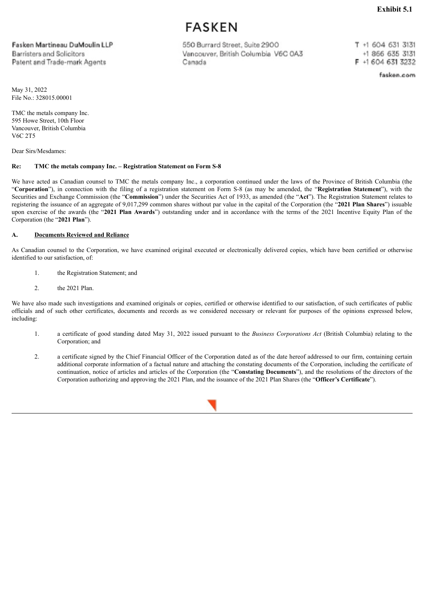# **FASKEN**

<span id="page-3-0"></span>**Fasken Martineau DuMoulin LLP** Barristers and Solicitors Patent and Trade-mark Agents

550 Burrard Street, Suite 2900 Vancouver, British Columbia V6C 0A3 Canada

 $T + 16046313131$ +1 866 635 3131 F +1 604 631 3232

fasken.com

May 31, 2022 File No.: 328015.00001

TMC the metals company Inc. 595 Howe Street, 10th Floor Vancouver, British Columbia V6C 2T5

Dear Sirs/Mesdames:

### **Re: TMC the metals company Inc. – Registration Statement on Form S-8**

We have acted as Canadian counsel to TMC the metals company Inc., a corporation continued under the laws of the Province of British Columbia (the "**Corporation**"), in connection with the filing of a registration statement on Form S-8 (as may be amended, the "**Registration Statement**"), with the Securities and Exchange Commission (the "**Commission**") under the Securities Act of 1933, as amended (the "**Act**"). The Registration Statement relates to registering the issuance of an aggregate of 9,017,299 common shares without par value in the capital of the Corporation (the "**2021 Plan Shares**") issuable upon exercise of the awards (the "**2021 Plan Awards**") outstanding under and in accordance with the terms of the 2021 Incentive Equity Plan of the Corporation (the "**2021 Plan**").

### **A. Documents Reviewed and Reliance**

As Canadian counsel to the Corporation, we have examined original executed or electronically delivered copies, which have been certified or otherwise identified to our satisfaction, of:

- 1. the Registration Statement; and
- 2. the 2021 Plan.

We have also made such investigations and examined originals or copies, certified or otherwise identified to our satisfaction, of such certificates of public officials and of such other certificates, documents and records as we considered necessary or relevant for purposes of the opinions expressed below, including:

- 1. a certificate of good standing dated May 31, 2022 issued pursuant to the *Business Corporations Act* (British Columbia) relating to the Corporation; and
- 2. a certificate signed by the Chief Financial Officer of the Corporation dated as of the date hereof addressed to our firm, containing certain additional corporate information of a factual nature and attaching the constating documents of the Corporation, including the certificate of continuation, notice of articles and articles of the Corporation (the "**Constating Documents**"), and the resolutions of the directors of the Corporation authorizing and approving the 2021 Plan, and the issuance of the 2021 Plan Shares (the "**Officer's Certificate**").

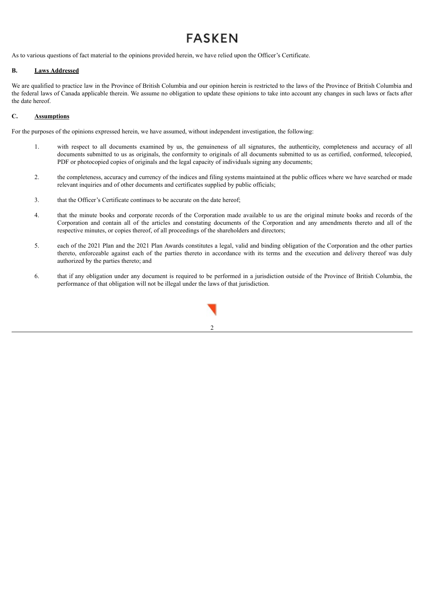# **FASKEN**

As to various questions of fact material to the opinions provided herein, we have relied upon the Officer's Certificate.

### **B. Laws Addressed**

We are qualified to practice law in the Province of British Columbia and our opinion herein is restricted to the laws of the Province of British Columbia and the federal laws of Canada applicable therein. We assume no obligation to update these opinions to take into account any changes in such laws or facts after the date hereof.

### **C. Assumptions**

For the purposes of the opinions expressed herein, we have assumed, without independent investigation, the following:

- 1. with respect to all documents examined by us, the genuineness of all signatures, the authenticity, completeness and accuracy of all documents submitted to us as originals, the conformity to originals of all documents submitted to us as certified, conformed, telecopied, PDF or photocopied copies of originals and the legal capacity of individuals signing any documents;
- 2. the completeness, accuracy and currency of the indices and filing systems maintained at the public offices where we have searched or made relevant inquiries and of other documents and certificates supplied by public officials;
- 3. that the Officer's Certificate continues to be accurate on the date hereof;
- 4. that the minute books and corporate records of the Corporation made available to us are the original minute books and records of the Corporation and contain all of the articles and constating documents of the Corporation and any amendments thereto and all of the respective minutes, or copies thereof, of all proceedings of the shareholders and directors;
- 5. each of the 2021 Plan and the 2021 Plan Awards constitutes a legal, valid and binding obligation of the Corporation and the other parties thereto, enforceable against each of the parties thereto in accordance with its terms and the execution and delivery thereof was duly authorized by the parties thereto; and
- 6. that if any obligation under any document is required to be performed in a jurisdiction outside of the Province of British Columbia, the performance of that obligation will not be illegal under the laws of that jurisdiction.



2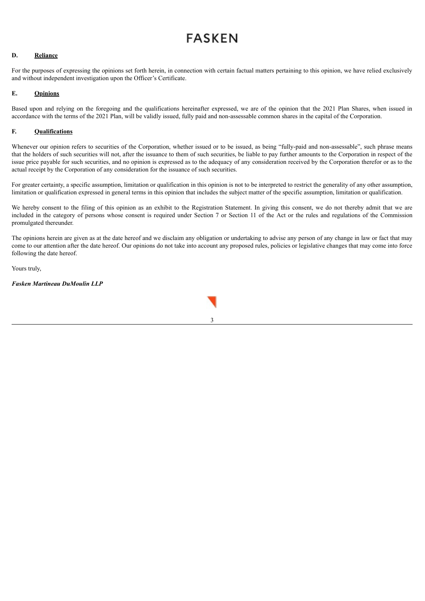# **FASKEN**

## **D. Reliance**

For the purposes of expressing the opinions set forth herein, in connection with certain factual matters pertaining to this opinion, we have relied exclusively and without independent investigation upon the Officer's Certificate.

### **E. Opinions**

Based upon and relying on the foregoing and the qualifications hereinafter expressed, we are of the opinion that the 2021 Plan Shares, when issued in accordance with the terms of the 2021 Plan, will be validly issued, fully paid and non-assessable common shares in the capital of the Corporation.

### **F. Qualifications**

Whenever our opinion refers to securities of the Corporation, whether issued or to be issued, as being "fully-paid and non-assessable", such phrase means that the holders of such securities will not, after the issuance to them of such securities, be liable to pay further amounts to the Corporation in respect of the issue price payable for such securities, and no opinion is expressed as to the adequacy of any consideration received by the Corporation therefor or as to the actual receipt by the Corporation of any consideration for the issuance of such securities.

For greater certainty, a specific assumption, limitation or qualification in this opinion is not to be interpreted to restrict the generality of any other assumption, limitation or qualification expressed in general terms in this opinion that includes the subject matter of the specific assumption, limitation or qualification.

We hereby consent to the filing of this opinion as an exhibit to the Registration Statement. In giving this consent, we do not thereby admit that we are included in the category of persons whose consent is required under Section 7 or Section 11 of the Act or the rules and regulations of the Commission promulgated thereunder.

The opinions herein are given as at the date hereof and we disclaim any obligation or undertaking to advise any person of any change in law or fact that may come to our attention after the date hereof. Our opinions do not take into account any proposed rules, policies or legislative changes that may come into force following the date hereof.

Yours truly,

*Fasken Martineau DuMoulin LLP*

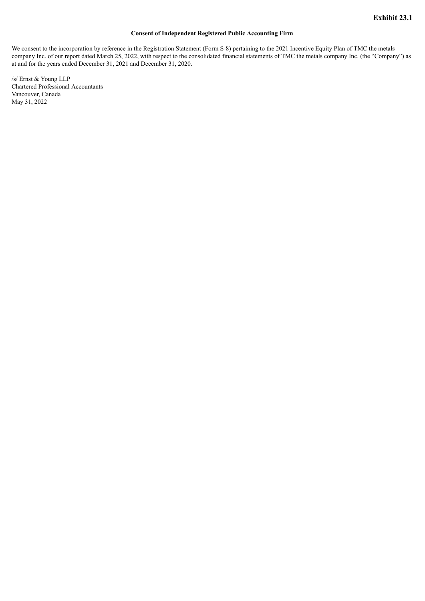### **Consent of Independent Registered Public Accounting Firm**

<span id="page-6-0"></span>We consent to the incorporation by reference in the Registration Statement (Form S-8) pertaining to the 2021 Incentive Equity Plan of TMC the metals company Inc. of our report dated March 25, 2022, with respect to the consolidated financial statements of TMC the metals company Inc. (the "Company") as at and for the years ended December 31, 2021 and December 31, 2020.

/s/ Ernst & Young LLP Chartered Professional Accountants Vancouver, Canada May 31, 2022